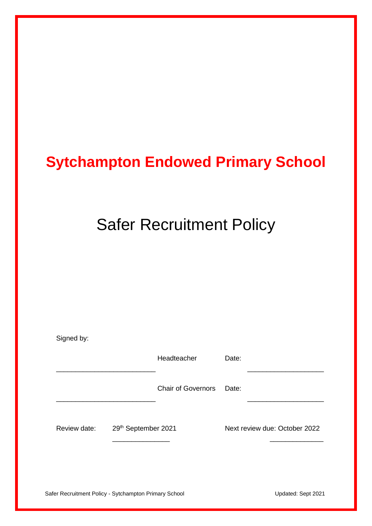# **Sytchampton Endowed Primary School**

# Safer Recruitment Policy

| Signed by:                                            |  |                           |       |                               |
|-------------------------------------------------------|--|---------------------------|-------|-------------------------------|
|                                                       |  | Headteacher               | Date: |                               |
|                                                       |  | <b>Chair of Governors</b> | Date: |                               |
| 29th September 2021<br>Review date:                   |  |                           |       | Next review due: October 2022 |
| Safer Recruitment Policy - Sytchampton Primary School |  |                           |       | Updated: Sept 2021            |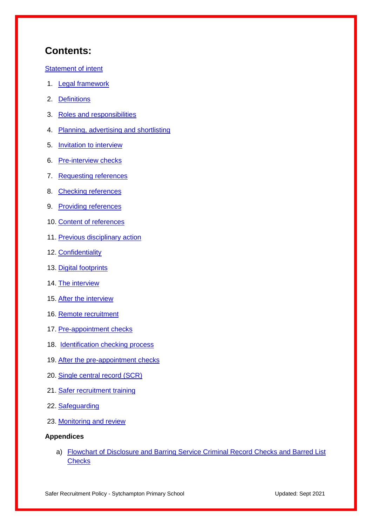## **Contents:**

[Statement of intent](#page-2-0)

- 1. [Legal framework](#page-3-0)
- 2. [Definitions](#page-4-0)
- 3. [Roles and responsibilities](#page-5-0)
- 4. [Planning, advertising and shortlisting](#page-7-0)
- 5. **[Invitation to interview](#page-10-0)**
- 6. [Pre-interview checks](#page-10-1)
- 7. [Requesting](#page-10-2) references
- 8. [Checking](#page-11-0) references
- 9. [Providing](#page-11-1) references
- 10. [Content](#page-12-0) of references
- 11. [Previous disciplinary action](#page-12-1)
- 12. [Confidentiality](#page-13-0)
- 13. [Digital footprints](#page-13-1)
- 14. [The interview](#page-14-0)
- 15. [After the interview](#page-15-0)
- 16. [Remote recruitment](#page-15-1)
- 17. [Pre-appointment checks](#page-16-0)
- 18. [Identification checking process](#page-20-0)
- 19. [After the pre-appointment checks](#page-21-0)
- 20. [Single central record \(SCR\)](#page-21-1)
- 21. [Safer recruitment training](#page-22-0)
- 22. [Safeguarding](#page-22-1)
- 23. [Monitoring and review](#page-22-2)

#### **Appendices**

a) [Flowchart of Disclosure and Barring Service Criminal Record Checks and Barred List](#page-23-0)  **[Checks](#page-23-0)**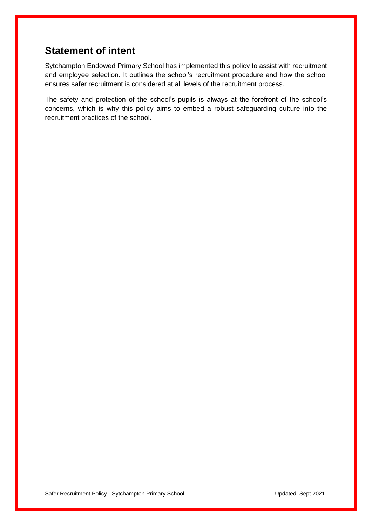## <span id="page-2-0"></span>**Statement of intent**

Sytchampton Endowed Primary School has implemented this policy to assist with recruitment and employee selection. It outlines the school's recruitment procedure and how the school ensures safer recruitment is considered at all levels of the recruitment process.

The safety and protection of the school's pupils is always at the forefront of the school's concerns, which is why this policy aims to embed a robust safeguarding culture into the recruitment practices of the school.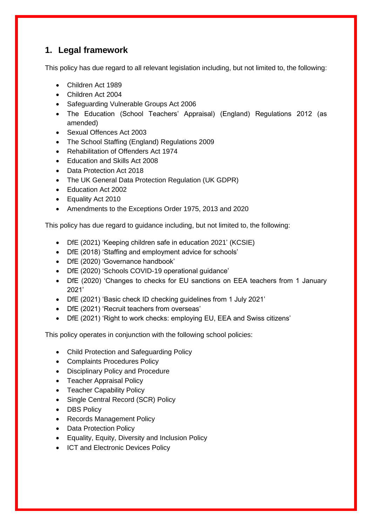## <span id="page-3-0"></span>**1. Legal framework**

This policy has due regard to all relevant legislation including, but not limited to, the following:

- Children Act 1989
- Children Act 2004
- Safeguarding Vulnerable Groups Act 2006
- The Education (School Teachers' Appraisal) (England) Regulations 2012 (as amended)
- Sexual Offences Act 2003
- The School Staffing (England) Regulations 2009
- Rehabilitation of Offenders Act 1974
- Education and Skills Act 2008
- Data Protection Act 2018
- The UK General Data Protection Regulation (UK GDPR)
- Education Act 2002
- Equality Act 2010
- Amendments to the Exceptions Order 1975, 2013 and 2020

This policy has due regard to guidance including, but not limited to, the following:

- DfE (2021) 'Keeping children safe in education 2021' (KCSIE)
- DfE (2018) 'Staffing and employment advice for schools'
- DfE (2020) 'Governance handbook'
- DfE (2020) 'Schools COVID-19 operational guidance'
- DfE (2020) 'Changes to checks for EU sanctions on EEA teachers from 1 January 2021'
- DfE (2021) 'Basic check ID checking guidelines from 1 July 2021'
- DfE (2021) 'Recruit teachers from overseas'
- DfE (2021) 'Right to work checks: employing EU, EEA and Swiss citizens'

This policy operates in conjunction with the following school policies:

- Child Protection and Safeguarding Policy
- Complaints Procedures Policy
- Disciplinary Policy and Procedure
- Teacher Appraisal Policy
- Teacher Capability Policy
- Single Central Record (SCR) Policy
- DBS Policy
- Records Management Policy
- Data Protection Policy
- Equality, Equity, Diversity and Inclusion Policy
- ICT and Electronic Devices Policy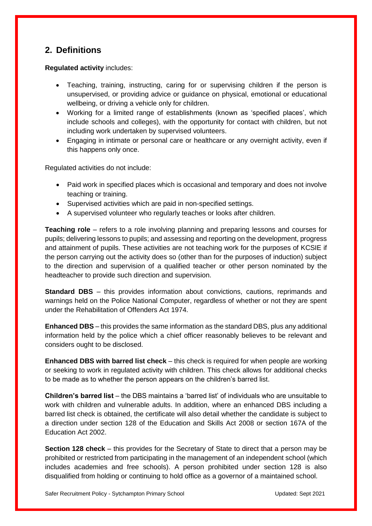## <span id="page-4-0"></span>**2. Definitions**

**Regulated activity** includes:

- Teaching, training, instructing, caring for or supervising children if the person is unsupervised, or providing advice or guidance on physical, emotional or educational wellbeing, or driving a vehicle only for children.
- Working for a limited range of establishments (known as 'specified places', which include schools and colleges), with the opportunity for contact with children, but not including work undertaken by supervised volunteers.
- Engaging in intimate or personal care or healthcare or any overnight activity, even if this happens only once.

Regulated activities do not include:

- Paid work in specified places which is occasional and temporary and does not involve teaching or training.
- Supervised activities which are paid in non-specified settings.
- A supervised volunteer who regularly teaches or looks after children.

**Teaching role** – refers to a role involving planning and preparing lessons and courses for pupils; delivering lessons to pupils; and assessing and reporting on the development, progress and attainment of pupils. These activities are not teaching work for the purposes of KCSIE if the person carrying out the activity does so (other than for the purposes of induction) subject to the direction and supervision of a qualified teacher or other person nominated by the headteacher to provide such direction and supervision.

**Standard DBS** – this provides information about convictions, cautions, reprimands and warnings held on the Police National Computer, regardless of whether or not they are spent under the Rehabilitation of Offenders Act 1974.

**Enhanced DBS** – this provides the same information as the standard DBS, plus any additional information held by the police which a chief officer reasonably believes to be relevant and considers ought to be disclosed.

**Enhanced DBS with barred list check** – this check is required for when people are working or seeking to work in regulated activity with children. This check allows for additional checks to be made as to whether the person appears on the children's barred list.

**Children's barred list** – the DBS maintains a 'barred list' of individuals who are unsuitable to work with children and vulnerable adults. In addition, where an enhanced DBS including a barred list check is obtained, the certificate will also detail whether the candidate is subject to a direction under section 128 of the Education and Skills Act 2008 or section 167A of the Education Act 2002.

**Section 128 check** – this provides for the Secretary of State to direct that a person may be prohibited or restricted from participating in the management of an independent school (which includes academies and free schools). A person prohibited under section 128 is also disqualified from holding or continuing to hold office as a governor of a maintained school.

Safer Recruitment Policy - Sytchampton Primary School **Channel Control Control Control Control** Updated: Sept 2021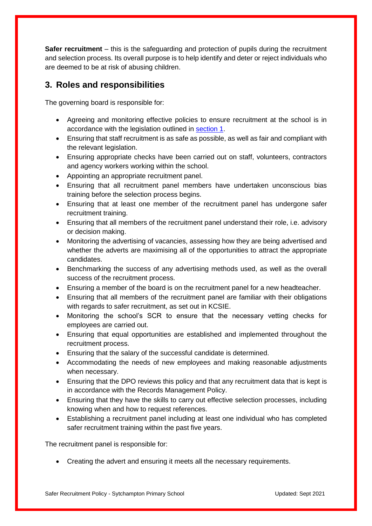**Safer recruitment** – this is the safeguarding and protection of pupils during the recruitment and selection process. Its overall purpose is to help identify and deter or reject individuals who are deemed to be at risk of abusing children.

## <span id="page-5-0"></span>**3. Roles and responsibilities**

The governing board is responsible for:

- Agreeing and monitoring effective policies to ensure recruitment at the school is in accordance with the legislation outlined in [section 1.](#page-3-0)
- Ensuring that staff recruitment is as safe as possible, as well as fair and compliant with the relevant legislation.
- Ensuring appropriate checks have been carried out on staff, volunteers, contractors and agency workers working within the school.
- Appointing an appropriate recruitment panel.
- Ensuring that all recruitment panel members have undertaken unconscious bias training before the selection process begins.
- Ensuring that at least one member of the recruitment panel has undergone safer recruitment training.
- Ensuring that all members of the recruitment panel understand their role, i.e. advisory or decision making.
- Monitoring the advertising of vacancies, assessing how they are being advertised and whether the adverts are maximising all of the opportunities to attract the appropriate candidates.
- Benchmarking the success of any advertising methods used, as well as the overall success of the recruitment process.
- Ensuring a member of the board is on the recruitment panel for a new headteacher.
- Ensuring that all members of the recruitment panel are familiar with their obligations with regards to safer recruitment, as set out in KCSIE.
- Monitoring the school's SCR to ensure that the necessary vetting checks for employees are carried out.
- Ensuring that equal opportunities are established and implemented throughout the recruitment process.
- Ensuring that the salary of the successful candidate is determined.
- Accommodating the needs of new employees and making reasonable adjustments when necessary.
- Ensuring that the DPO reviews this policy and that any recruitment data that is kept is in accordance with the Records Management Policy.
- Ensuring that they have the skills to carry out effective selection processes, including knowing when and how to request references.
- Establishing a recruitment panel including at least one individual who has completed safer recruitment training within the past five years.

The recruitment panel is responsible for:

Creating the advert and ensuring it meets all the necessary requirements.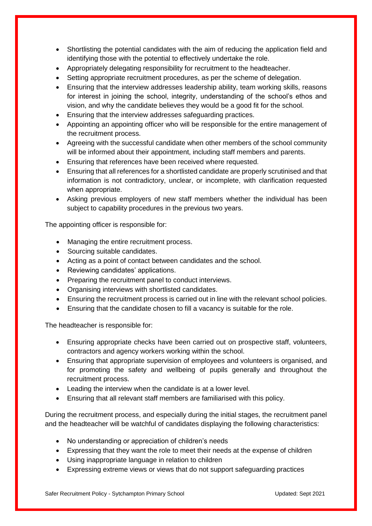- Shortlisting the potential candidates with the aim of reducing the application field and identifying those with the potential to effectively undertake the role.
- Appropriately delegating responsibility for recruitment to the headteacher.
- Setting appropriate recruitment procedures, as per the scheme of delegation.
- Ensuring that the interview addresses leadership ability, team working skills, reasons for interest in joining the school, integrity, understanding of the school's ethos and vision, and why the candidate believes they would be a good fit for the school.
- Ensuring that the interview addresses safeguarding practices.
- Appointing an appointing officer who will be responsible for the entire management of the recruitment process.
- Agreeing with the successful candidate when other members of the school community will be informed about their appointment, including staff members and parents.
- Ensuring that references have been received where requested.
- Ensuring that all references for a shortlisted candidate are properly scrutinised and that information is not contradictory, unclear, or incomplete, with clarification requested when appropriate.
- Asking previous employers of new staff members whether the individual has been subject to capability procedures in the previous two years.

The appointing officer is responsible for:

- Managing the entire recruitment process.
- Sourcing suitable candidates.
- Acting as a point of contact between candidates and the school.
- Reviewing candidates' applications.
- Preparing the recruitment panel to conduct interviews.
- Organising interviews with shortlisted candidates.
- Ensuring the recruitment process is carried out in line with the relevant school policies.
- Ensuring that the candidate chosen to fill a vacancy is suitable for the role.

The headteacher is responsible for:

- Ensuring appropriate checks have been carried out on prospective staff, volunteers, contractors and agency workers working within the school.
- Ensuring that appropriate supervision of employees and volunteers is organised, and for promoting the safety and wellbeing of pupils generally and throughout the recruitment process.
- Leading the interview when the candidate is at a lower level.
- Ensuring that all relevant staff members are familiarised with this policy.

During the recruitment process, and especially during the initial stages, the recruitment panel and the headteacher will be watchful of candidates displaying the following characteristics:

- No understanding or appreciation of children's needs
- Expressing that they want the role to meet their needs at the expense of children
- Using inappropriate language in relation to children
- Expressing extreme views or views that do not support safeguarding practices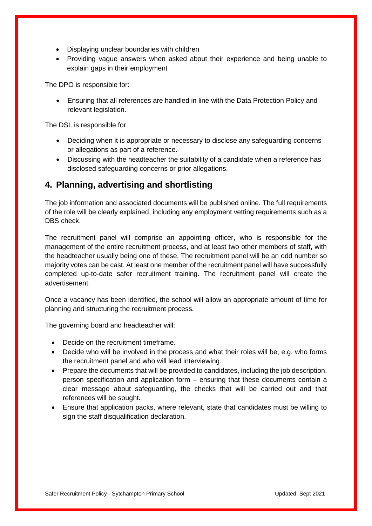- Displaying unclear boundaries with children
- Providing vague answers when asked about their experience and being unable to explain gaps in their employment

The DPO is responsible for:

 Ensuring that all references are handled in line with the Data Protection Policy and relevant legislation.

The DSL is responsible for:

- Deciding when it is appropriate or necessary to disclose any safeguarding concerns or allegations as part of a reference.
- Discussing with the headteacher the suitability of a candidate when a reference has disclosed safeguarding concerns or prior allegations.

#### <span id="page-7-0"></span>**4. Planning, advertising and shortlisting**

The job information and associated documents will be published online. The full requirements of the role will be clearly explained, including any employment vetting requirements such as a DBS check.

The recruitment panel will comprise an appointing officer, who is responsible for the management of the entire recruitment process, and at least two other members of staff, with the headteacher usually being one of these. The recruitment panel will be an odd number so majority votes can be cast. At least one member of the recruitment panel will have successfully completed up-to-date safer recruitment training. The recruitment panel will create the advertisement.

Once a vacancy has been identified, the school will allow an appropriate amount of time for planning and structuring the recruitment process.

The governing board and headteacher will:

- Decide on the recruitment timeframe.
- Decide who will be involved in the process and what their roles will be, e.g. who forms the recruitment panel and who will lead interviewing.
- Prepare the documents that will be provided to candidates, including the job description, person specification and application form – ensuring that these documents contain a clear message about safeguarding, the checks that will be carried out and that references will be sought.
- Ensure that application packs, where relevant, state that candidates must be willing to sign the staff disqualification declaration.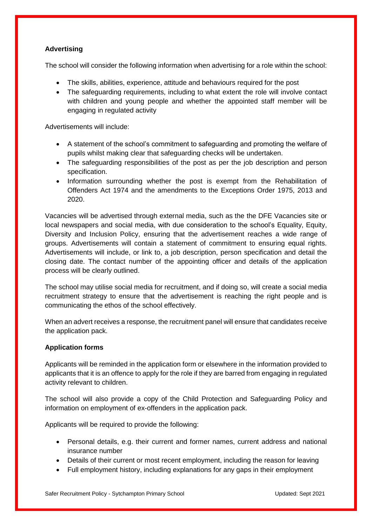#### **Advertising**

The school will consider the following information when advertising for a role within the school:

- The skills, abilities, experience, attitude and behaviours required for the post
- The safeguarding requirements, including to what extent the role will involve contact with children and young people and whether the appointed staff member will be engaging in regulated activity

Advertisements will include:

- A statement of the school's commitment to safeguarding and promoting the welfare of pupils whilst making clear that safeguarding checks will be undertaken.
- The safeguarding responsibilities of the post as per the job description and person specification.
- Information surrounding whether the post is exempt from the Rehabilitation of Offenders Act 1974 and the amendments to the Exceptions Order 1975, 2013 and 2020.

Vacancies will be advertised through external media, such as the the DFE Vacancies site or local newspapers and social media, with due consideration to the school's Equality, Equity, Diversity and Inclusion Policy, ensuring that the advertisement reaches a wide range of groups. Advertisements will contain a statement of commitment to ensuring equal rights. Advertisements will include, or link to, a job description, person specification and detail the closing date. The contact number of the appointing officer and details of the application process will be clearly outlined.

The school may utilise social media for recruitment, and if doing so, will create a social media recruitment strategy to ensure that the advertisement is reaching the right people and is communicating the ethos of the school effectively.

When an advert receives a response, the recruitment panel will ensure that candidates receive the application pack.

#### **Application forms**

Applicants will be reminded in the application form or elsewhere in the information provided to applicants that it is an offence to apply for the role if they are barred from engaging in regulated activity relevant to children.

The school will also provide a copy of the Child Protection and Safeguarding Policy and information on employment of ex-offenders in the application pack.

Applicants will be required to provide the following:

- Personal details, e.g. their current and former names, current address and national insurance number
- Details of their current or most recent employment, including the reason for leaving
- Full employment history, including explanations for any gaps in their employment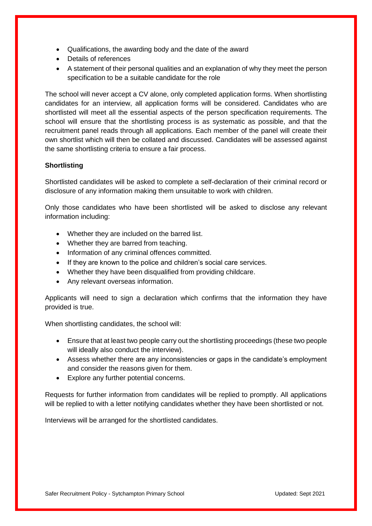- Qualifications, the awarding body and the date of the award
- Details of references
- A statement of their personal qualities and an explanation of why they meet the person specification to be a suitable candidate for the role

The school will never accept a CV alone, only completed application forms. When shortlisting candidates for an interview, all application forms will be considered. Candidates who are shortlisted will meet all the essential aspects of the person specification requirements. The school will ensure that the shortlisting process is as systematic as possible, and that the recruitment panel reads through all applications. Each member of the panel will create their own shortlist which will then be collated and discussed. Candidates will be assessed against the same shortlisting criteria to ensure a fair process.

#### **Shortlisting**

Shortlisted candidates will be asked to complete a self-declaration of their criminal record or disclosure of any information making them unsuitable to work with children.

Only those candidates who have been shortlisted will be asked to disclose any relevant information including:

- Whether they are included on the barred list.
- Whether they are barred from teaching.
- Information of any criminal offences committed.
- If they are known to the police and children's social care services.
- Whether they have been disqualified from providing childcare.
- Any relevant overseas information.

Applicants will need to sign a declaration which confirms that the information they have provided is true.

When shortlisting candidates, the school will:

- Ensure that at least two people carry out the shortlisting proceedings (these two people will ideally also conduct the interview).
- Assess whether there are any inconsistencies or gaps in the candidate's employment and consider the reasons given for them.
- Explore any further potential concerns.

Requests for further information from candidates will be replied to promptly. All applications will be replied to with a letter notifying candidates whether they have been shortlisted or not.

Interviews will be arranged for the shortlisted candidates.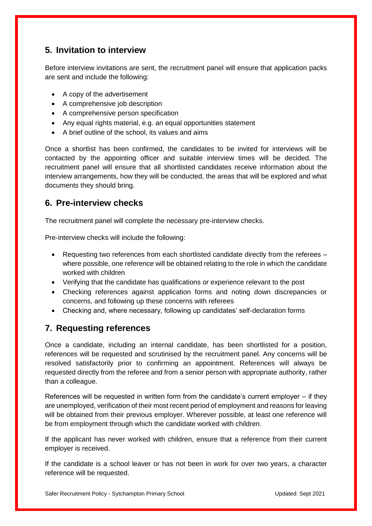## <span id="page-10-0"></span>**5. Invitation to interview**

Before interview invitations are sent, the recruitment panel will ensure that application packs are sent and include the following:

- A copy of the advertisement
- A comprehensive job description
- A comprehensive person specification
- Any equal rights material, e.g. an equal opportunities statement
- A brief outline of the school, its values and aims

Once a shortlist has been confirmed, the candidates to be invited for interviews will be contacted by the appointing officer and suitable interview times will be decided. The recruitment panel will ensure that all shortlisted candidates receive information about the interview arrangements, how they will be conducted, the areas that will be explored and what documents they should bring.

## <span id="page-10-1"></span>**6. Pre-interview checks**

The recruitment panel will complete the necessary pre-interview checks.

Pre-interview checks will include the following:

- Requesting two references from each shortlisted candidate directly from the referees where possible, one reference will be obtained relating to the role in which the candidate worked with children
- Verifying that the candidate has qualifications or experience relevant to the post
- Checking references against application forms and noting down discrepancies or concerns, and following up these concerns with referees
- Checking and, where necessary, following up candidates' self-declaration forms

## <span id="page-10-2"></span>**7. Requesting references**

Once a candidate, including an internal candidate, has been shortlisted for a position, references will be requested and scrutinised by the recruitment panel. Any concerns will be resolved satisfactorily prior to confirming an appointment. References will always be requested directly from the referee and from a senior person with appropriate authority, rather than a colleague.

References will be requested in written form from the candidate's current employer – if they are unemployed, verification of their most recent period of employment and reasons for leaving will be obtained from their previous employer. Wherever possible, at least one reference will be from employment through which the candidate worked with children.

If the applicant has never worked with children, ensure that a reference from their current employer is received.

If the candidate is a school leaver or has not been in work for over two years, a character reference will be requested.

Safer Recruitment Policy - Sytchampton Primary School **Channel Control Control Control Control Control Control Control Control Control Control Control Control Control Control Control Control Control Control Control Control**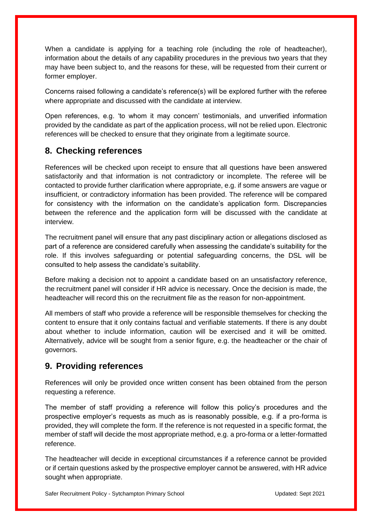When a candidate is applying for a teaching role (including the role of headteacher), information about the details of any capability procedures in the previous two years that they may have been subject to, and the reasons for these, will be requested from their current or former employer.

Concerns raised following a candidate's reference(s) will be explored further with the referee where appropriate and discussed with the candidate at interview.

Open references, e.g. 'to whom it may concern' testimonials, and unverified information provided by the candidate as part of the application process, will not be relied upon. Electronic references will be checked to ensure that they originate from a legitimate source.

#### <span id="page-11-0"></span>**8. Checking references**

References will be checked upon receipt to ensure that all questions have been answered satisfactorily and that information is not contradictory or incomplete. The referee will be contacted to provide further clarification where appropriate, e.g. if some answers are vague or insufficient, or contradictory information has been provided. The reference will be compared for consistency with the information on the candidate's application form. Discrepancies between the reference and the application form will be discussed with the candidate at interview.

The recruitment panel will ensure that any past disciplinary action or allegations disclosed as part of a reference are considered carefully when assessing the candidate's suitability for the role. If this involves safeguarding or potential safeguarding concerns, the DSL will be consulted to help assess the candidate's suitability.

Before making a decision not to appoint a candidate based on an unsatisfactory reference, the recruitment panel will consider if HR advice is necessary. Once the decision is made, the headteacher will record this on the recruitment file as the reason for non-appointment.

All members of staff who provide a reference will be responsible themselves for checking the content to ensure that it only contains factual and verifiable statements. If there is any doubt about whether to include information, caution will be exercised and it will be omitted. Alternatively, advice will be sought from a senior figure, e.g. the headteacher or the chair of governors.

## <span id="page-11-1"></span>**9. Providing references**

References will only be provided once written consent has been obtained from the person requesting a reference.

The member of staff providing a reference will follow this policy's procedures and the prospective employer's requests as much as is reasonably possible, e.g. if a pro-forma is provided, they will complete the form. If the reference is not requested in a specific format, the member of staff will decide the most appropriate method, e.g. a pro-forma or a letter-formatted reference.

The headteacher will decide in exceptional circumstances if a reference cannot be provided or if certain questions asked by the prospective employer cannot be answered, with HR advice sought when appropriate.

Safer Recruitment Policy - Sytchampton Primary School **Channel Control Control Control Control** Updated: Sept 2021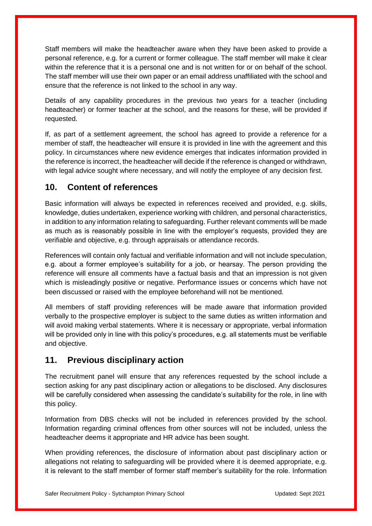Staff members will make the headteacher aware when they have been asked to provide a personal reference, e.g. for a current or former colleague. The staff member will make it clear within the reference that it is a personal one and is not written for or on behalf of the school. The staff member will use their own paper or an email address unaffiliated with the school and ensure that the reference is not linked to the school in any way.

Details of any capability procedures in the previous two years for a teacher (including headteacher) or former teacher at the school, and the reasons for these, will be provided if requested.

If, as part of a settlement agreement, the school has agreed to provide a reference for a member of staff, the headteacher will ensure it is provided in line with the agreement and this policy. In circumstances where new evidence emerges that indicates information provided in the reference is incorrect, the headteacher will decide if the reference is changed or withdrawn, with legal advice sought where necessary, and will notify the employee of any decision first.

#### <span id="page-12-0"></span>**10. Content of references**

Basic information will always be expected in references received and provided, e.g. skills, knowledge, duties undertaken, experience working with children, and personal characteristics, in addition to any information relating to safeguarding. Further relevant comments will be made as much as is reasonably possible in line with the employer's requests, provided they are verifiable and objective, e.g. through appraisals or attendance records.

References will contain only factual and verifiable information and will not include speculation, e.g. about a former employee's suitability for a job, or hearsay. The person providing the reference will ensure all comments have a factual basis and that an impression is not given which is misleadingly positive or negative. Performance issues or concerns which have not been discussed or raised with the employee beforehand will not be mentioned.

All members of staff providing references will be made aware that information provided verbally to the prospective employer is subject to the same duties as written information and will avoid making verbal statements. Where it is necessary or appropriate, verbal information will be provided only in line with this policy's procedures, e.g. all statements must be verifiable and objective.

## <span id="page-12-1"></span>**11. Previous disciplinary action**

The recruitment panel will ensure that any references requested by the school include a section asking for any past disciplinary action or allegations to be disclosed. Any disclosures will be carefully considered when assessing the candidate's suitability for the role, in line with this policy.

Information from DBS checks will not be included in references provided by the school. Information regarding criminal offences from other sources will not be included, unless the headteacher deems it appropriate and HR advice has been sought.

When providing references, the disclosure of information about past disciplinary action or allegations not relating to safeguarding will be provided where it is deemed appropriate, e.g. it is relevant to the staff member of former staff member's suitability for the role. Information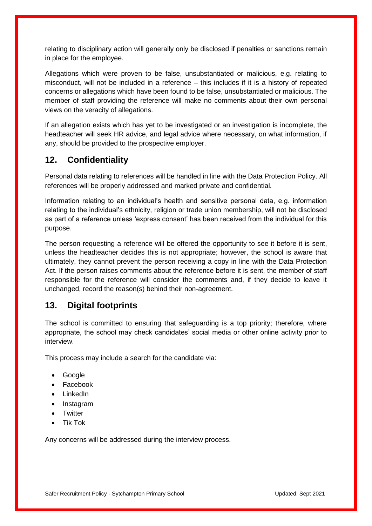relating to disciplinary action will generally only be disclosed if penalties or sanctions remain in place for the employee.

Allegations which were proven to be false, unsubstantiated or malicious, e.g. relating to misconduct, will not be included in a reference – this includes if it is a history of repeated concerns or allegations which have been found to be false, unsubstantiated or malicious. The member of staff providing the reference will make no comments about their own personal views on the veracity of allegations.

If an allegation exists which has yet to be investigated or an investigation is incomplete, the headteacher will seek HR advice, and legal advice where necessary, on what information, if any, should be provided to the prospective employer.

#### <span id="page-13-0"></span>**12. Confidentiality**

Personal data relating to references will be handled in line with the Data Protection Policy. All references will be properly addressed and marked private and confidential.

Information relating to an individual's health and sensitive personal data, e.g. information relating to the individual's ethnicity, religion or trade union membership, will not be disclosed as part of a reference unless 'express consent' has been received from the individual for this purpose.

The person requesting a reference will be offered the opportunity to see it before it is sent, unless the headteacher decides this is not appropriate; however, the school is aware that ultimately, they cannot prevent the person receiving a copy in line with the Data Protection Act. If the person raises comments about the reference before it is sent, the member of staff responsible for the reference will consider the comments and, if they decide to leave it unchanged, record the reason(s) behind their non-agreement.

#### <span id="page-13-1"></span>**13. Digital footprints**

The school is committed to ensuring that safeguarding is a top priority; therefore, where appropriate, the school may check candidates' social media or other online activity prior to interview.

This process may include a search for the candidate via:

- Google
- Facebook
- LinkedIn
- Instagram
- **Twitter**
- Tik Tok

Any concerns will be addressed during the interview process.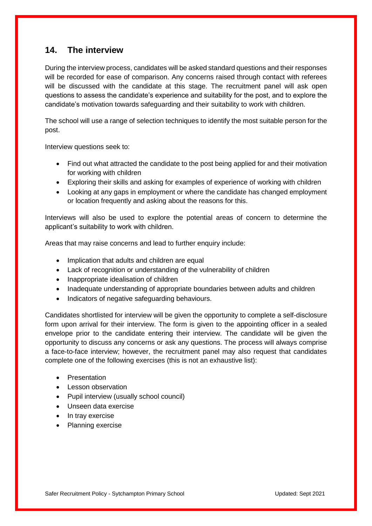#### <span id="page-14-0"></span>**14. The interview**

During the interview process, candidates will be asked standard questions and their responses will be recorded for ease of comparison. Any concerns raised through contact with referees will be discussed with the candidate at this stage. The recruitment panel will ask open questions to assess the candidate's experience and suitability for the post, and to explore the candidate's motivation towards safeguarding and their suitability to work with children.

The school will use a range of selection techniques to identify the most suitable person for the post.

Interview questions seek to:

- Find out what attracted the candidate to the post being applied for and their motivation for working with children
- Exploring their skills and asking for examples of experience of working with children
- Looking at any gaps in employment or where the candidate has changed employment or location frequently and asking about the reasons for this.

Interviews will also be used to explore the potential areas of concern to determine the applicant's suitability to work with children.

Areas that may raise concerns and lead to further enquiry include:

- Implication that adults and children are equal
- Lack of recognition or understanding of the vulnerability of children
- Inappropriate idealisation of children
- Inadequate understanding of appropriate boundaries between adults and children
- Indicators of negative safeguarding behaviours.

Candidates shortlisted for interview will be given the opportunity to complete a self-disclosure form upon arrival for their interview. The form is given to the appointing officer in a sealed envelope prior to the candidate entering their interview. The candidate will be given the opportunity to discuss any concerns or ask any questions. The process will always comprise a face-to-face interview; however, the recruitment panel may also request that candidates complete one of the following exercises (this is not an exhaustive list):

- **•** Presentation
- Lesson observation
- Pupil interview (usually school council)
- Unseen data exercise
- In tray exercise
- Planning exercise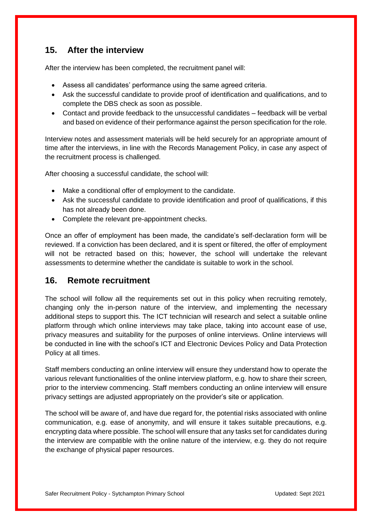#### <span id="page-15-0"></span>**15. After the interview**

After the interview has been completed, the recruitment panel will:

- Assess all candidates' performance using the same agreed criteria.
- Ask the successful candidate to provide proof of identification and qualifications, and to complete the DBS check as soon as possible.
- Contact and provide feedback to the unsuccessful candidates feedback will be verbal and based on evidence of their performance against the person specification for the role.

Interview notes and assessment materials will be held securely for an appropriate amount of time after the interviews, in line with the Records Management Policy, in case any aspect of the recruitment process is challenged.

After choosing a successful candidate, the school will:

- Make a conditional offer of employment to the candidate.
- Ask the successful candidate to provide identification and proof of qualifications, if this has not already been done.
- Complete the relevant pre-appointment checks.

Once an offer of employment has been made, the candidate's self-declaration form will be reviewed. If a conviction has been declared, and it is spent or filtered, the offer of employment will not be retracted based on this; however, the school will undertake the relevant assessments to determine whether the candidate is suitable to work in the school.

#### <span id="page-15-1"></span>**16. Remote recruitment**

The school will follow all the requirements set out in this policy when recruiting remotely, changing only the in-person nature of the interview, and implementing the necessary additional steps to support this. The ICT technician will research and select a suitable online platform through which online interviews may take place, taking into account ease of use, privacy measures and suitability for the purposes of online interviews. Online interviews will be conducted in line with the school's ICT and Electronic Devices Policy and Data Protection Policy at all times.

Staff members conducting an online interview will ensure they understand how to operate the various relevant functionalities of the online interview platform, e.g. how to share their screen, prior to the interview commencing. Staff members conducting an online interview will ensure privacy settings are adjusted appropriately on the provider's site or application.

The school will be aware of, and have due regard for, the potential risks associated with online communication, e.g. ease of anonymity, and will ensure it takes suitable precautions, e.g. encrypting data where possible. The school will ensure that any tasks set for candidates during the interview are compatible with the online nature of the interview, e.g. they do not require the exchange of physical paper resources.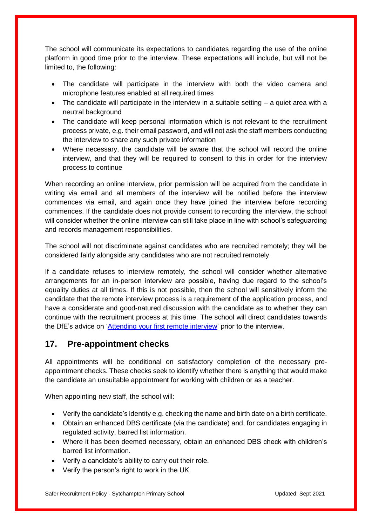The school will communicate its expectations to candidates regarding the use of the online platform in good time prior to the interview. These expectations will include, but will not be limited to, the following:

- The candidate will participate in the interview with both the video camera and microphone features enabled at all required times
- $\bullet$  The candidate will participate in the interview in a suitable setting  $-$  a quiet area with a neutral background
- The candidate will keep personal information which is not relevant to the recruitment process private, e.g. their email password, and will not ask the staff members conducting the interview to share any such private information
- Where necessary, the candidate will be aware that the school will record the online interview, and that they will be required to consent to this in order for the interview process to continue

When recording an online interview, prior permission will be acquired from the candidate in writing via email and all members of the interview will be notified before the interview commences via email, and again once they have joined the interview before recording commences. If the candidate does not provide consent to recording the interview, the school will consider whether the online interview can still take place in line with school's safeguarding and records management responsibilities.

The school will not discriminate against candidates who are recruited remotely; they will be considered fairly alongside any candidates who are not recruited remotely.

If a candidate refuses to interview remotely, the school will consider whether alternative arrangements for an in-person interview are possible, having due regard to the school's equality duties at all times. If this is not possible, then the school will sensitively inform the candidate that the remote interview process is a requirement of the application process, and have a considerate and good-natured discussion with the candidate as to whether they can continue with the recruitment process at this time. The school will direct candidates towards the DfE's advice on ['Attending your first remote interview'](https://teaching.blog.gov.uk/2020/06/12/attending-your-first-remote-interview/) prior to the interview.

## <span id="page-16-0"></span>**17. Pre-appointment checks**

All appointments will be conditional on satisfactory completion of the necessary preappointment checks. These checks seek to identify whether there is anything that would make the candidate an unsuitable appointment for working with children or as a teacher.

When appointing new staff, the school will:

- Verify the candidate's identity e.g. checking the name and birth date on a birth certificate.
- Obtain an enhanced DBS certificate (via the candidate) and, for candidates engaging in regulated activity, barred list information.
- Where it has been deemed necessary, obtain an enhanced DBS check with children's barred list information.
- Verify a candidate's ability to carry out their role.
- Verify the person's right to work in the UK.

Safer Recruitment Policy - Sytchampton Primary School **Channel Control Control Control Control Control Control** Updated: Sept 2021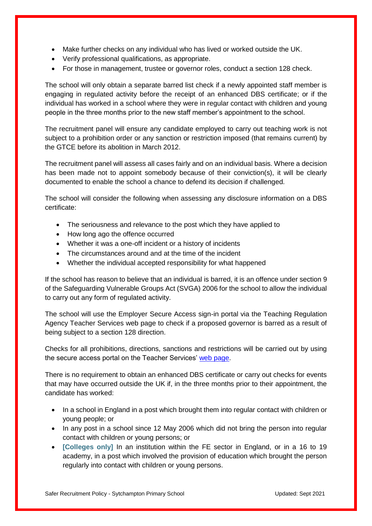- Make further checks on any individual who has lived or worked outside the UK.
- Verify professional qualifications, as appropriate.
- For those in management, trustee or governor roles, conduct a section 128 check.

The school will only obtain a separate barred list check if a newly appointed staff member is engaging in regulated activity before the receipt of an enhanced DBS certificate; or if the individual has worked in a school where they were in regular contact with children and young people in the three months prior to the new staff member's appointment to the school.

The recruitment panel will ensure any candidate employed to carry out teaching work is not subject to a prohibition order or any sanction or restriction imposed (that remains current) by the GTCE before its abolition in March 2012.

The recruitment panel will assess all cases fairly and on an individual basis. Where a decision has been made not to appoint somebody because of their conviction(s), it will be clearly documented to enable the school a chance to defend its decision if challenged.

The school will consider the following when assessing any disclosure information on a DBS certificate:

- The seriousness and relevance to the post which they have applied to
- How long ago the offence occurred
- Whether it was a one-off incident or a history of incidents
- The circumstances around and at the time of the incident
- Whether the individual accepted responsibility for what happened

If the school has reason to believe that an individual is barred, it is an offence under section 9 of the Safeguarding Vulnerable Groups Act (SVGA) 2006 for the school to allow the individual to carry out any form of regulated activity.

The school will use the Employer Secure Access sign-in portal via the Teaching Regulation Agency Teacher Services web page to check if a proposed governor is barred as a result of being subject to a section 128 direction.

Checks for all prohibitions, directions, sanctions and restrictions will be carried out by using the secure access portal on the Teacher Services' [web page.](https://teacherservices.education.gov.uk/)

There is no requirement to obtain an enhanced DBS certificate or carry out checks for events that may have occurred outside the UK if, in the three months prior to their appointment, the candidate has worked:

- In a school in England in a post which brought them into regular contact with children or young people; or
- In any post in a school since 12 May 2006 which did not bring the person into regular contact with children or young persons; or
- **[Colleges only]** In an institution within the FE sector in England, or in a 16 to 19 academy, in a post which involved the provision of education which brought the person regularly into contact with children or young persons.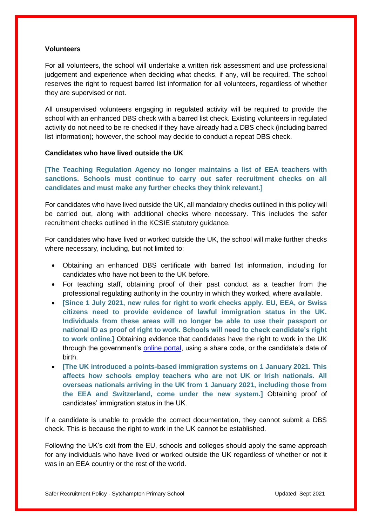#### **Volunteers**

For all volunteers, the school will undertake a written risk assessment and use professional judgement and experience when deciding what checks, if any, will be required. The school reserves the right to request barred list information for all volunteers, regardless of whether they are supervised or not.

All unsupervised volunteers engaging in regulated activity will be required to provide the school with an enhanced DBS check with a barred list check. Existing volunteers in regulated activity do not need to be re-checked if they have already had a DBS check (including barred list information); however, the school may decide to conduct a repeat DBS check.

#### **Candidates who have lived outside the UK**

**[The Teaching Regulation Agency no longer maintains a list of EEA teachers with sanctions. Schools must continue to carry out safer recruitment checks on all candidates and must make any further checks they think relevant.]**

For candidates who have lived outside the UK, all mandatory checks outlined in this policy will be carried out, along with additional checks where necessary. This includes the safer recruitment checks outlined in the KCSIE statutory guidance.

For candidates who have lived or worked outside the UK, the school will make further checks where necessary, including, but not limited to:

- Obtaining an enhanced DBS certificate with barred list information, including for candidates who have not been to the UK before.
- For teaching staff, obtaining proof of their past conduct as a teacher from the professional regulating authority in the country in which they worked, where available.
- **[Since 1 July 2021, new rules for right to work checks apply. EU, EEA, or Swiss citizens need to provide evidence of lawful immigration status in the UK. Individuals from these areas will no longer be able to use their passport or national ID as proof of right to work. Schools will need to check candidate's right to work online.]** Obtaining evidence that candidates have the right to work in the UK through the government's [online portal,](https://www.gov.uk/view-right-to-work) using a share code, or the candidate's date of birth.
- **[The UK introduced a points-based immigration systems on 1 January 2021. This affects how schools employ teachers who are not UK or Irish nationals. All overseas nationals arriving in the UK from 1 January 2021, including those from the EEA and Switzerland, come under the new system.]** Obtaining proof of candidates' immigration status in the UK.

If a candidate is unable to provide the correct documentation, they cannot submit a DBS check. This is because the right to work in the UK cannot be established.

Following the UK's exit from the EU, schools and colleges should apply the same approach for any individuals who have lived or worked outside the UK regardless of whether or not it was in an EEA country or the rest of the world.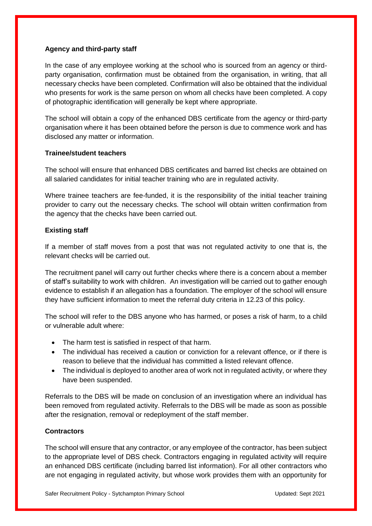#### **Agency and third-party staff**

In the case of any employee working at the school who is sourced from an agency or thirdparty organisation, confirmation must be obtained from the organisation, in writing, that all necessary checks have been completed. Confirmation will also be obtained that the individual who presents for work is the same person on whom all checks have been completed. A copy of photographic identification will generally be kept where appropriate.

The school will obtain a copy of the enhanced DBS certificate from the agency or third-party organisation where it has been obtained before the person is due to commence work and has disclosed any matter or information.

#### **Trainee/student teachers**

The school will ensure that enhanced DBS certificates and barred list checks are obtained on all salaried candidates for initial teacher training who are in regulated activity.

Where trainee teachers are fee-funded, it is the responsibility of the initial teacher training provider to carry out the necessary checks. The school will obtain written confirmation from the agency that the checks have been carried out.

#### **Existing staff**

If a member of staff moves from a post that was not regulated activity to one that is, the relevant checks will be carried out.

The recruitment panel will carry out further checks where there is a concern about a member of staff's suitability to work with children. An investigation will be carried out to gather enough evidence to establish if an allegation has a foundation. The employer of the school will ensure they have sufficient information to meet the referral duty criteria in 12.23 of this policy.

The school will refer to the DBS anyone who has harmed, or poses a risk of harm, to a child or vulnerable adult where:

- The harm test is satisfied in respect of that harm.
- The individual has received a caution or conviction for a relevant offence, or if there is reason to believe that the individual has committed a listed relevant offence.
- The individual is deployed to another area of work not in regulated activity, or where they have been suspended.

Referrals to the DBS will be made on conclusion of an investigation where an individual has been removed from regulated activity. Referrals to the DBS will be made as soon as possible after the resignation, removal or redeployment of the staff member.

#### **Contractors**

The school will ensure that any contractor, or any employee of the contractor, has been subject to the appropriate level of DBS check. Contractors engaging in regulated activity will require an enhanced DBS certificate (including barred list information). For all other contractors who are not engaging in regulated activity, but whose work provides them with an opportunity for

Safer Recruitment Policy - Sytchampton Primary School **Channel Control Control Control Control** Updated: Sept 2021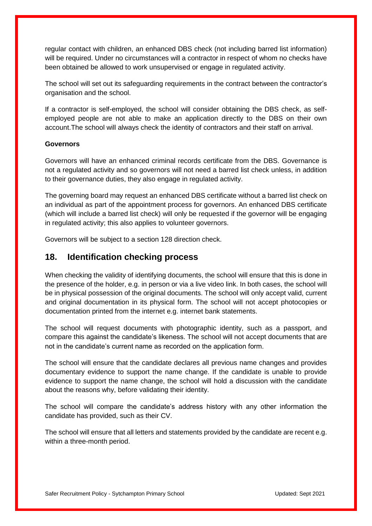regular contact with children, an enhanced DBS check (not including barred list information) will be required. Under no circumstances will a contractor in respect of whom no checks have been obtained be allowed to work unsupervised or engage in regulated activity.

The school will set out its safeguarding requirements in the contract between the contractor's organisation and the school.

If a contractor is self-employed, the school will consider obtaining the DBS check, as selfemployed people are not able to make an application directly to the DBS on their own account.The school will always check the identity of contractors and their staff on arrival.

#### **Governors**

Governors will have an enhanced criminal records certificate from the DBS. Governance is not a regulated activity and so governors will not need a barred list check unless, in addition to their governance duties, they also engage in regulated activity.

The governing board may request an enhanced DBS certificate without a barred list check on an individual as part of the appointment process for governors. An enhanced DBS certificate (which will include a barred list check) will only be requested if the governor will be engaging in regulated activity; this also applies to volunteer governors.

Governors will be subject to a section 128 direction check.

#### <span id="page-20-0"></span>**18. Identification checking process**

When checking the validity of identifying documents, the school will ensure that this is done in the presence of the holder, e.g. in person or via a live video link. In both cases, the school will be in physical possession of the original documents. The school will only accept valid, current and original documentation in its physical form. The school will not accept photocopies or documentation printed from the internet e.g. internet bank statements.

The school will request documents with photographic identity, such as a passport, and compare this against the candidate's likeness. The school will not accept documents that are not in the candidate's current name as recorded on the application form.

The school will ensure that the candidate declares all previous name changes and provides documentary evidence to support the name change. If the candidate is unable to provide evidence to support the name change, the school will hold a discussion with the candidate about the reasons why, before validating their identity.

The school will compare the candidate's address history with any other information the candidate has provided, such as their CV.

The school will ensure that all letters and statements provided by the candidate are recent e.g. within a three-month period.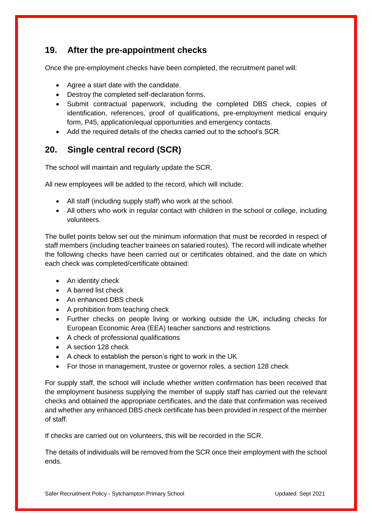### <span id="page-21-0"></span>**19. After the pre-appointment checks**

Once the pre-employment checks have been completed, the recruitment panel will:

- Agree a start date with the candidate.
- Destroy the completed self-declaration forms.
- Submit contractual paperwork, including the completed DBS check, copies of identification, references, proof of qualifications, pre-employment medical enquiry form, P45, application/equal opportunities and emergency contacts.
- Add the required details of the checks carried out to the school's SCR.

## <span id="page-21-1"></span>**20. Single central record (SCR)**

The school will maintain and regularly update the SCR.

All new employees will be added to the record, which will include:

- All staff (including supply staff) who work at the school.
- All others who work in regular contact with children in the school or college, including volunteers.

The bullet points below set out the minimum information that must be recorded in respect of staff members (including teacher trainees on salaried routes). The record will indicate whether the following checks have been carried out or certificates obtained, and the date on which each check was completed/certificate obtained:

- An identity check
- A barred list check
- An enhanced DBS check
- A prohibition from teaching check
- Further checks on people living or working outside the UK, including checks for European Economic Area (EEA) teacher sanctions and restrictions
- A check of professional qualifications
- A section 128 check
- A check to establish the person's right to work in the UK
- For those in management, trustee or governor roles, a section 128 check

For supply staff, the school will include whether written confirmation has been received that the employment business supplying the member of supply staff has carried out the relevant checks and obtained the appropriate certificates, and the date that confirmation was received and whether any enhanced DBS check certificate has been provided in respect of the member of staff.

If checks are carried out on volunteers, this will be recorded in the SCR.

The details of individuals will be removed from the SCR once their employment with the school ends.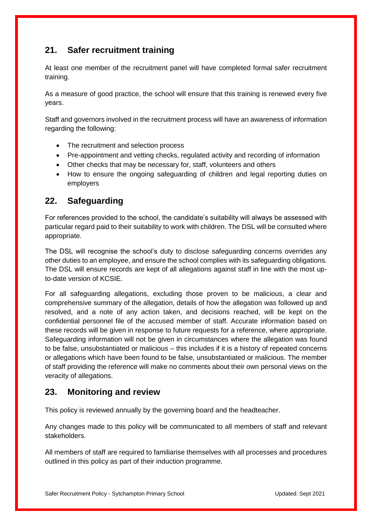## <span id="page-22-0"></span>**21. Safer recruitment training**

At least one member of the recruitment panel will have completed formal safer recruitment training.

As a measure of good practice, the school will ensure that this training is renewed every five years.

Staff and governors involved in the recruitment process will have an awareness of information regarding the following:

- The recruitment and selection process
- Pre-appointment and vetting checks, regulated activity and recording of information
- Other checks that may be necessary for, staff, volunteers and others
- How to ensure the ongoing safeguarding of children and legal reporting duties on employers

#### <span id="page-22-1"></span>**22. Safeguarding**

For references provided to the school, the candidate's suitability will always be assessed with particular regard paid to their suitability to work with children. The DSL will be consulted where appropriate.

The DSL will recognise the school's duty to disclose safeguarding concerns overrides any other duties to an employee, and ensure the school complies with its safeguarding obligations. The DSL will ensure records are kept of all allegations against staff in line with the most upto-date version of KCSIE.

For all safeguarding allegations, excluding those proven to be malicious, a clear and comprehensive summary of the allegation, details of how the allegation was followed up and resolved, and a note of any action taken, and decisions reached, will be kept on the confidential personnel file of the accused member of staff. Accurate information based on these records will be given in response to future requests for a reference, where appropriate. Safeguarding information will not be given in circumstances where the allegation was found to be false, unsubstantiated or malicious – this includes if it is a history of repeated concerns or allegations which have been found to be false, unsubstantiated or malicious. The member of staff providing the reference will make no comments about their own personal views on the veracity of allegations.

#### <span id="page-22-2"></span>**23. Monitoring and review**

This policy is reviewed annually by the governing board and the headteacher.

Any changes made to this policy will be communicated to all members of staff and relevant stakeholders.

All members of staff are required to familiarise themselves with all processes and procedures outlined in this policy as part of their induction programme.